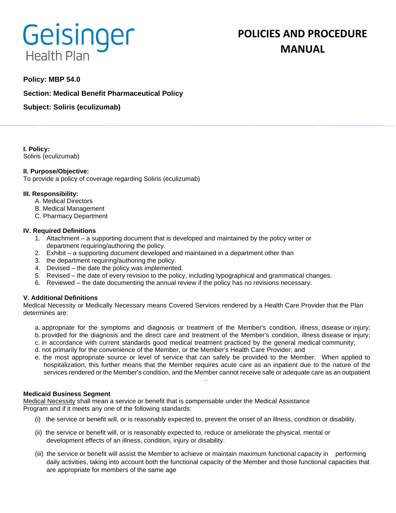# **Geisinger Health Plan**

# **POLICIES AND PROCEDURE MANUAL**

# **Policy: MBP 54.0**

**Section: Medical Benefit Pharmaceutical Policy**

**Subject: Soliris (eculizumab)**

**I. Policy:** Soliris (eculizumab)

# **II. Purpose/Objective:**

To provide a policy of coverage regarding Soliris (eculizumab)

# **III. Responsibility:**

- A. Medical Directors
- B. Medical Management
- C. Pharmacy Department

# **IV. Required Definitions**

- 1. Attachment a supporting document that is developed and maintained by the policy writer or department requiring/authoring the policy.
- 2. Exhibit a supporting document developed and maintained in a department other than
- 3. the department requiring/authoring the policy.
- 4. Devised the date the policy was implemented.
- 5. Revised the date of every revision to the policy, including typographical and grammatical changes.
- 6. Reviewed the date documenting the annual review if the policy has no revisions necessary.

# **V. Additional Definitions**

Medical Necessity or Medically Necessary means Covered Services rendered by a Health Care Provider that the Plan determines are:

- a. appropriate for the symptoms and diagnosis or treatment of the Member's condition, illness, disease or injury; b. provided for the diagnosis and the direct care and treatment of the Member's condition, illness disease or injury;
- c. in accordance with current standards good medical treatment practiced by the general medical community;
- d. not primarily for the convenience of the Member, or the Member's Health Care Provider; and
- e. the most appropriate source or level of service that can safely be provided to the Member. When applied to hospitalization, this further means that the Member requires acute care as an inpatient due to the nature of the services rendered or the Member's condition, and the Member cannot receive safe or adequate care as an outpatient

#### **Medicaid Business Segment**

Medical Necessity shall mean a service or benefit that is compensable under the Medical Assistance Program and if it meets any one of the following standards:

- (i) the service or benefit will, or is reasonably expected to, prevent the onset of an illness, condition or disability.
- (ii) the service or benefit will, or is reasonably expected to, reduce or ameliorate the physical, mental or development effects of an illness, condition, injury or disability.
- (iii) the service or benefit will assist the Member to achieve or maintain maximum functional capacity in performing daily activities, taking into account both the functional capacity of the Member and those functional capacities that are appropriate for members of the same age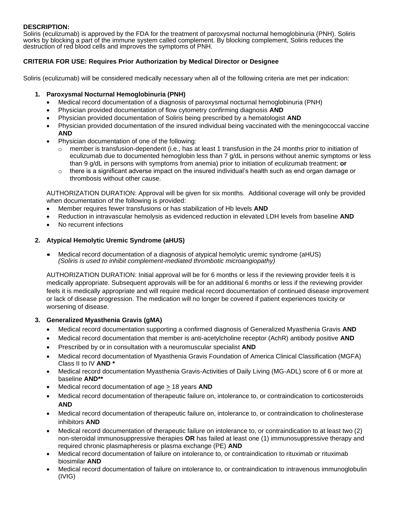# **DESCRIPTION:**

Soliris (eculizumab) is approved by the FDA for the treatment of paroxysmal nocturnal hemoglobinuria (PNH). Soliris works by blocking a part of the immune system called complement. By blocking complement, Soliris reduces the destruction of red blood cells and improves the symptoms of PNH.

# **CRITERIA FOR USE: Requires Prior Authorization by Medical Director or Designee**

Soliris (eculizumab) will be considered medically necessary when all of the following criteria are met per indication:

# **1. Paroxysmal Nocturnal Hemoglobinuria (PNH)**

- Medical record documentation of a diagnosis of paroxysmal nocturnal hemoglobinuria (PNH)
- Physician provided documentation of flow cytometry confirming diagnosis **AND**
- Physician provided documentation of Soliris being prescribed by a hematologist **AND**
- Physician provided documentation of the insured individual being vaccinated with the meningococcal vaccine **AND**
- Physician documentation of one of the following:
	- $\circ$  member is transfusion-dependent (i.e., has at least 1 transfusion in the 24 months prior to initiation of eculizumab due to documented hemoglobin less than 7 g/dL in persons without anemic symptoms or less than 9 g/dL in persons with symptoms from anemia) prior to initiation of eculizumab treatment; **or**
	- $\circ$  there is a significant adverse impact on the insured individual's health such as end organ damage or thrombosis without other cause.

AUTHORIZATION DURATION: Approval will be given for six months. Additional coverage will only be provided when documentation of the following is provided:

- Member requires fewer transfusions or has stabilization of Hb levels **AND**
- Reduction in intravascular hemolysis as evidenced reduction in elevated LDH levels from baseline **AND**
- No recurrent infections

# **2. Atypical Hemolytic Uremic Syndrome (aHUS)**

• Medical record documentation of a diagnosis of atypical hemolytic uremic syndrome (aHUS) *(Soliris is used to inhibit complement-mediated thrombotic microangiopathy)*

AUTHORIZATION DURATION: Initial approval will be for 6 months or less if the reviewing provider feels it is medically appropriate. Subsequent approvals will be for an additional 6 months or less if the reviewing provider feels it is medically appropriate and will require medical record documentation of continued disease improvement or lack of disease progression. The medication will no longer be covered if patient experiences toxicity or worsening of disease.

#### **3. Generalized Myasthenia Gravis (gMA)**

- Medical record documentation supporting a confirmed diagnosis of Generalized Myasthenia Gravis **AND**
- Medical record documentation that member is anti-acetylcholine receptor (AchR) antibody positive **AND**
- Prescribed by or in consultation with a neuromuscular specialist **AND**
- Medical record documentation of Myasthenia Gravis Foundation of America Clinical Classification (MGFA) Class II to IV **AND \***
- Medical record documentation Myasthenia Gravis-Activities of Daily Living (MG-ADL) score of 6 or more at baseline **AND\*\***
- Medical record documentation of age  $\geq$  18 years **AND**
- Medical record documentation of therapeutic failure on, intolerance to, or contraindication to corticosteroids **AND**
- Medical record documentation of therapeutic failure on, intolerance to, or contraindication to cholinesterase inhibitors **AND**
- Medical record documentation of therapeutic failure on intolerance to, or contraindication to at least two (2) non-steroidal immunosuppressive therapies **OR** has failed at least one (1) immunosuppressive therapy and required chronic plasmapheresis or plasma exchange (PE) **AND**
- Medical record documentation of failure on intolerance to, or contraindication to rituximab or rituximab biosimilar **AND**
- Medical record documentation of failure on intolerance to, or contraindication to intravenous immunoglobulin (IVIG)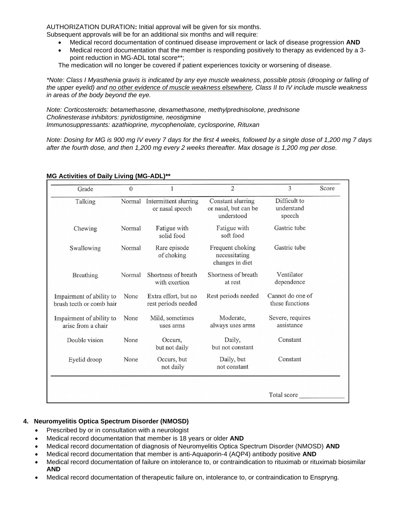AUTHORIZATION DURATION**:** Initial approval will be given for six months.

Subsequent approvals will be for an additional six months and will require:

- Medical record documentation of continued disease improvement or lack of disease progression **AND**
- Medical record documentation that the member is responding positively to therapy as evidenced by a 3 point reduction in MG-ADL total score\*\*;

The medication will no longer be covered if patient experiences toxicity or worsening of disease.

*\*Note: Class I Myasthenia gravis is indicated by any eye muscle weakness, possible ptosis (drooping or falling of the upper eyelid) and no other evidence of muscle weakness elsewhere, Class II to IV include muscle weakness in areas of the body beyond the eye.*

*Note: Corticosteroids: betamethasone, dexamethasone, methylprednisolone, prednisone Cholinesterase inhibitors: pyridostigmine, neostigmine Immunosuppressants: azathioprine, mycophenolate, cyclosporine, Rituxan*

*Note: Dosing for MG is 900 mg IV every 7 days for the first 4 weeks, followed by a single dose of 1,200 mg 7 days after the fourth dose, and then 1,200 mg every 2 weeks thereafter. Max dosage is 1,200 mg per dose.* 

| Grade                                                | $\theta$ |                                                 | $\overline{2}$                                          | 3                                    | Score |
|------------------------------------------------------|----------|-------------------------------------------------|---------------------------------------------------------|--------------------------------------|-------|
| Talking                                              |          | Normal Intermittent slurring<br>or nasal speech | Constant slurring<br>or nasal, but can be<br>understood | Difficult to<br>understand<br>speech |       |
| Chewing                                              | Normal   | Fatigue with<br>solid food                      | Fatigue with<br>soft food                               | Gastric tube                         |       |
| Swallowing                                           | Normal   | Rare episode<br>of choking                      | Frequent choking<br>necessitating<br>changes in diet    | Gastric tube                         |       |
| Breathing                                            | Normal   | Shortness of breath<br>with exertion            | Shortness of breath<br>at rest                          | Ventilator<br>dependence             |       |
| Impairment of ability to<br>brush teeth or comb hair | None     | Extra effort, but no<br>rest periods needed     | Rest periods needed                                     | Cannot do one of<br>these functions  |       |
| Impairment of ability to<br>arise from a chair       | None     | Mild, sometimes<br>uses arms                    | Moderate,<br>always uses arms                           | Severe, requires<br>assistance       |       |
| Double vision                                        | None     | Occurs,<br>but not daily                        | Daily,<br>but not constant                              | Constant                             |       |
| Eyelid droop                                         | None     | Occurs, but<br>not daily                        | Daily, but<br>not constant                              | Constant                             |       |
|                                                      |          |                                                 |                                                         | Total score                          |       |

# **MG Activities of Daily Living (MG-ADL)\*\***

# **4. Neuromyelitis Optica Spectrum Disorder (NMOSD)**

- Prescribed by or in consultation with a neurologist
- Medical record documentation that member is 18 years or older **AND**
- Medical record documentation of diagnosis of Neuromyelitis Optica Spectrum Disorder (NMOSD) **AND**
- Medical record documentation that member is anti-Aquaporin-4 (AQP4) antibody positive **AND**
- Medical record documentation of failure on intolerance to, or contraindication to rituximab or rituximab biosimilar **AND**
- Medical record documentation of therapeutic failure on, intolerance to, or contraindication to Enspryng.